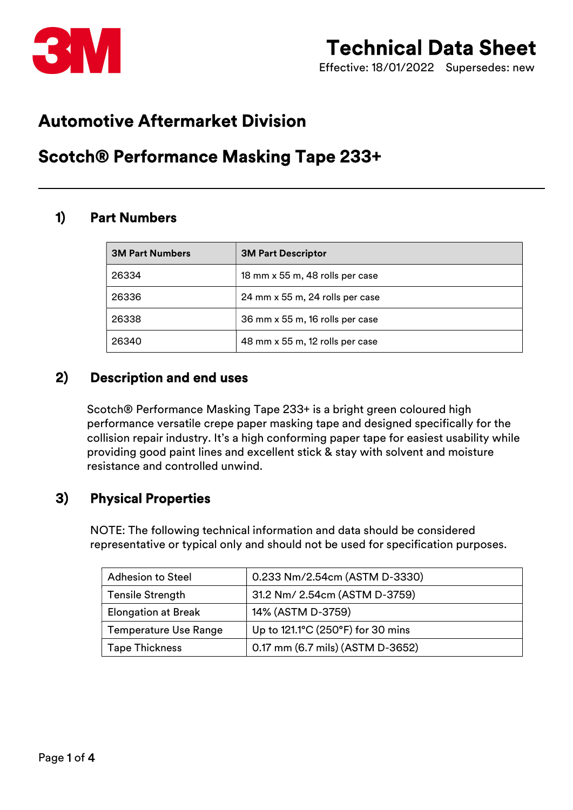

Effective: 18/01/2022 Supersedes: new

# Automotive Aftermarket Division

# Scotch® Performance Masking Tape 233+

## 1) Part Numbers

| <b>3M Part Numbers</b> | <b>3M Part Descriptor</b>       |
|------------------------|---------------------------------|
| 26334                  | 18 mm x 55 m, 48 rolls per case |
| 26336                  | 24 mm x 55 m, 24 rolls per case |
| 26338                  | 36 mm x 55 m, 16 rolls per case |
| 26340                  | 48 mm x 55 m, 12 rolls per case |

#### 2) Description and end uses

Scotch® Performance Masking Tape 233+ is a bright green coloured high performance versatile crepe paper masking tape and designed specifically for the collision repair industry. It's a high conforming paper tape for easiest usability while providing good paint lines and excellent stick & stay with solvent and moisture resistance and controlled unwind.

#### 3) Physical Properties

NOTE: The following technical information and data should be considered representative or typical only and should not be used for specification purposes.

| <b>Adhesion to Steel</b>     | 0.233 Nm/2.54cm (ASTM D-3330)     |  |
|------------------------------|-----------------------------------|--|
| <b>Tensile Strength</b>      | 31.2 Nm/ 2.54cm (ASTM D-3759)     |  |
| <b>Elongation at Break</b>   | 14% (ASTM D-3759)                 |  |
| <b>Temperature Use Range</b> | Up to 121.1°C (250°F) for 30 mins |  |
| <b>Tape Thickness</b>        | 0.17 mm (6.7 mils) (ASTM D-3652)  |  |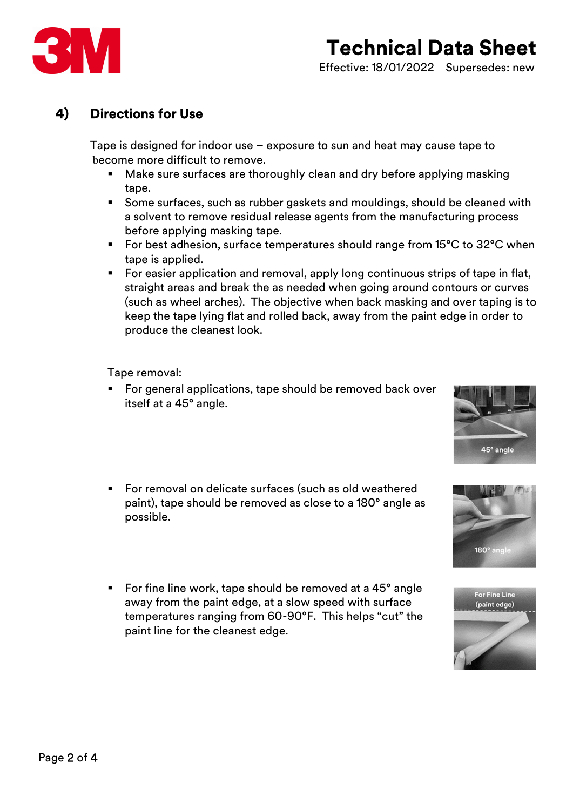

#### 4) Directions for Use

Tape is designed for indoor use – exposure to sun and heat may cause tape to become more difficult to remove.

- **Make sure surfaces are thoroughly clean and dry before applying masking** tape.
- Some surfaces, such as rubber gaskets and mouldings, should be cleaned with a solvent to remove residual release agents from the manufacturing process before applying masking tape.
- For best adhesion, surface temperatures should range from 15°C to 32°C when tape is applied.
- For easier application and removal, apply long continuous strips of tape in flat, straight areas and break the as needed when going around contours or curves (such as wheel arches). The objective when back masking and over taping is to keep the tape lying flat and rolled back, away from the paint edge in order to produce the cleanest look.

Tape removal:

- For general applications, tape should be removed back over itself at a 45° angle.
- **For removal on delicate surfaces (such as old weathered** paint), tape should be removed as close to a 180° angle as possible.
- For fine line work, tape should be removed at a 45<sup>°</sup> angle away from the paint edge, at a slow speed with surface temperatures ranging from 60-90°F. This helps "cut" the paint line for the cleanest edge.





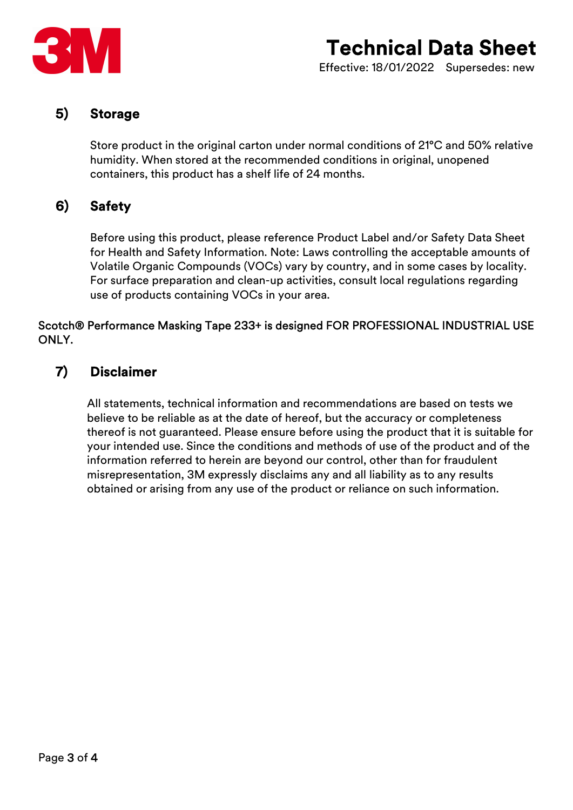

#### 5) Storage

Store product in the original carton under normal conditions of 21°C and 50% relative humidity. When stored at the recommended conditions in original, unopened containers, this product has a shelf life of 24 months.

## 6) Safety

Before using this product, please reference Product Label and/or Safety Data Sheet for Health and Safety Information. Note: Laws controlling the acceptable amounts of Volatile Organic Compounds (VOCs) vary by country, and in some cases by locality. For surface preparation and clean-up activities, consult local regulations regarding use of products containing VOCs in your area.

#### Scotch® Performance Masking Tape 233+ is designed FOR PROFESSIONAL INDUSTRIAL USE ONLY.

#### 7) Disclaimer

All statements, technical information and recommendations are based on tests we believe to be reliable as at the date of hereof, but the accuracy or completeness thereof is not guaranteed. Please ensure before using the product that it is suitable for your intended use. Since the conditions and methods of use of the product and of the information referred to herein are beyond our control, other than for fraudulent misrepresentation, 3M expressly disclaims any and all liability as to any results obtained or arising from any use of the product or reliance on such information.